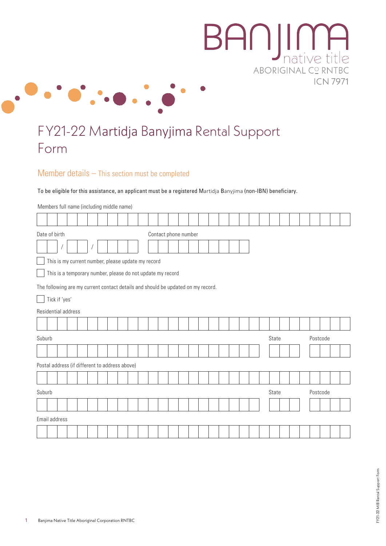

# FY21-22 Martidja Banyjima Rental Support Form

## Member details – This section must be completed

To be eligible for this assistance, an applicant must be a registered Martidja Banyjima (non-IBN) beneficiary.

Members full name (including middle name)

|        | Date of birth<br>Contact phone number                                            |  |  |  |  |  |  |  |  |  |  |       |  |  |          |  |  |  |       |  |  |          |  |  |  |
|--------|----------------------------------------------------------------------------------|--|--|--|--|--|--|--|--|--|--|-------|--|--|----------|--|--|--|-------|--|--|----------|--|--|--|
|        |                                                                                  |  |  |  |  |  |  |  |  |  |  |       |  |  |          |  |  |  |       |  |  |          |  |  |  |
|        | This is my current number, please update my record                               |  |  |  |  |  |  |  |  |  |  |       |  |  |          |  |  |  |       |  |  |          |  |  |  |
|        | This is a temporary number, please do not update my record                       |  |  |  |  |  |  |  |  |  |  |       |  |  |          |  |  |  |       |  |  |          |  |  |  |
|        | The following are my current contact details and should be updated on my record. |  |  |  |  |  |  |  |  |  |  |       |  |  |          |  |  |  |       |  |  |          |  |  |  |
|        | Tick if 'yes'                                                                    |  |  |  |  |  |  |  |  |  |  |       |  |  |          |  |  |  |       |  |  |          |  |  |  |
|        | Residential address                                                              |  |  |  |  |  |  |  |  |  |  |       |  |  |          |  |  |  |       |  |  |          |  |  |  |
|        |                                                                                  |  |  |  |  |  |  |  |  |  |  |       |  |  |          |  |  |  |       |  |  |          |  |  |  |
| Suburb |                                                                                  |  |  |  |  |  |  |  |  |  |  |       |  |  |          |  |  |  | State |  |  | Postcode |  |  |  |
|        |                                                                                  |  |  |  |  |  |  |  |  |  |  |       |  |  |          |  |  |  |       |  |  |          |  |  |  |
|        | Postal address (if different to address above)                                   |  |  |  |  |  |  |  |  |  |  |       |  |  |          |  |  |  |       |  |  |          |  |  |  |
|        |                                                                                  |  |  |  |  |  |  |  |  |  |  |       |  |  |          |  |  |  |       |  |  |          |  |  |  |
|        | Suburb                                                                           |  |  |  |  |  |  |  |  |  |  | State |  |  | Postcode |  |  |  |       |  |  |          |  |  |  |
|        |                                                                                  |  |  |  |  |  |  |  |  |  |  |       |  |  |          |  |  |  |       |  |  |          |  |  |  |
|        | Email address                                                                    |  |  |  |  |  |  |  |  |  |  |       |  |  |          |  |  |  |       |  |  |          |  |  |  |
|        |                                                                                  |  |  |  |  |  |  |  |  |  |  |       |  |  |          |  |  |  |       |  |  |          |  |  |  |